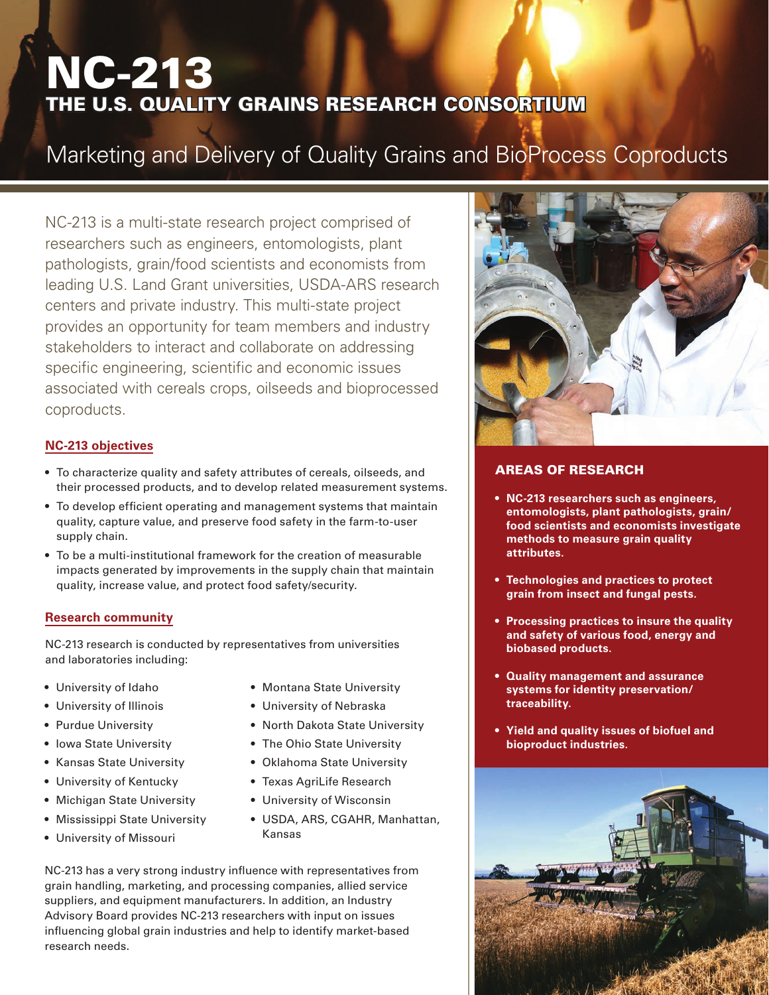# NC-213 THE U.S. QUALITY GRAINS RESEARCH CONSORTIUM

# Marketing and Delivery of Quality Grains and BioProcess Coproducts

NC-213 is a multi-state research project comprised of researchers such as engineers, entomologists, plant pathologists, grain/food scientists and economists from leading U.S. Land Grant universities, USDA-ARS research centers and private industry. This multi-state project provides an opportunity for team members and industry stakeholders to interact and collaborate on addressing specific engineering, scientific and economic issues associated with cereals crops, oilseeds and bioprocessed coproducts.

### **NC-213 objectives**

- To characterize quality and safety attributes of cereals, oilseeds, and their processed products, and to develop related measurement systems.
- To develop efficient operating and management systems that maintain quality, capture value, and preserve food safety in the farm-to-user supply chain.
- To be a multi-institutional framework for the creation of measurable impacts generated by improvements in the supply chain that maintain quality, increase value, and protect food safety/security.

### **Research community**

NC-213 research is conducted by representatives from universities and laboratories including:

- University of Idaho
- University of Illinois
- Purdue University
- Iowa State University
- Kansas State University
- University of Kentucky
- Michigan State University
- Mississippi State University
- University of Missouri
- Montana State University
- University of Nebraska
- North Dakota State University
- The Ohio State University
- Oklahoma State University
- Texas AgriLife Research
- University of Wisconsin
- USDA, ARS, CGAHR, Manhattan, Kansas

NC-213 has a very strong industry influence with representatives from grain handling, marketing, and processing companies, allied service suppliers, and equipment manufacturers. In addition, an Industry Advisory Board provides NC-213 researchers with input on issues influencing global grain industries and help to identify market-based research needs.



## AREAS OF RESEARCH

- **• NC-213 researchers such as engineers, entomologists, plant pathologists, grain/ food scientists and economists investigate methods to measure grain quality attributes.**
- **• Technologies and practices to protect grain from insect and fungal pests.**
- **• Processing practices to insure the quality and safety of various food, energy and biobased products.**
- **• Quality management and assurance systems for identity preservation/ traceability.**
- **• Yield and quality issues of biofuel and bioproduct industries.**